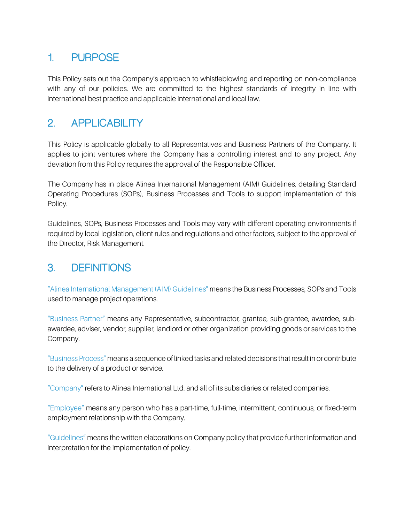# **1. PURPOSE**

This Policy sets out the Company's approach to whistleblowing and reporting on non-compliance with any of our policies. We are committed to the highest standards of integrity in line with international best practice and applicable international and local law.

## **2. APPLICABILITY**

This Policy is applicable globally to all Representatives and Business Partners of the Company. It applies to joint ventures where the Company has a controlling interest and to any project. Any deviation from this Policy requires the approval of the Responsible Officer.

The Company has in place Alinea International Management (AIM) Guidelines, detailing Standard Operating Procedures (SOPs), Business Processes and Tools to support implementation of this Policy.

Guidelines, SOPs, Business Processes and Tools may vary with different operating environments if required by local legislation, client rules and regulations and other factors, subject to the approval of the Director, Risk Management.

### **3. DEFINITIONS**

"Alinea International Management (AIM) Guidelines" means the Business Processes, SOPs and Tools used to manage project operations.

"Business Partner" means any Representative, subcontractor, grantee, sub-grantee, awardee, subawardee, adviser, vendor, supplier, landlord or other organization providing goods or services to the Company.

"Business Process" means a sequence of linked tasks and related decisions that result in or contribute to the delivery of a product or service.

"Company" refers to Alinea International Ltd. and all of its subsidiaries or related companies.

"Employee" means any person who has a part-time, full-time, intermittent, continuous, or fixed-term employment relationship with the Company.

"Guidelines" means the written elaborations on Company policy that provide further information and interpretation for the implementation of policy.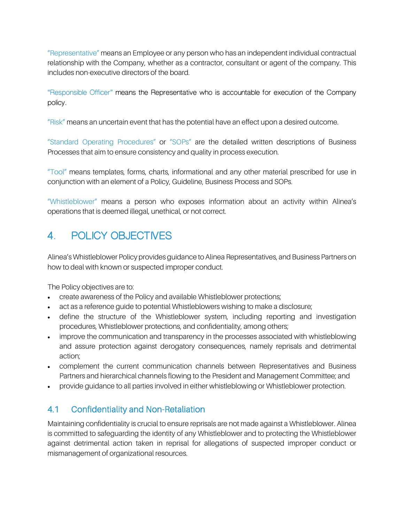"Representative" means an Employee or any person who has an independent individual contractual relationship with the Company, whether as a contractor, consultant or agent of the company. This includes non-executive directors of the board.

"Responsible Officer" means the Representative who is accountable for execution of the Company policy.

"Risk" means an uncertain event that has the potential have an effect upon a desired outcome.

"Standard Operating Procedures" or "SOPs" are the detailed written descriptions of Business Processes that aim to ensure consistency and quality in process execution.

"Tool" means templates, forms, charts, informational and any other material prescribed for use in conjunction with an element of a Policy, Guideline, Business Process and SOPs.

"Whistleblower" means a person who exposes information about an activity within Alinea's operations that is deemed illegal, unethical, or not correct.

# **4. POLICY OBJECTIVES**

Alinea's Whistleblower Policy provides guidance to Alinea Representatives, and Business Partners on how to deal with known or suspected improper conduct.

The Policy objectives are to:

- create awareness of the Policy and available Whistleblower protections;
- act as a reference guide to potential Whistleblowers wishing to make a disclosure;
- define the structure of the Whistleblower system, including reporting and investigation procedures, Whistleblower protections, and confidentiality, among others;
- improve the communication and transparency in the processes associated with whistleblowing and assure protection against derogatory consequences, namely reprisals and detrimental action;
- complement the current communication channels between Representatives and Business Partners and hierarchical channels flowing to the President and Management Committee; and
- provide guidance to all parties involved in either whistleblowing or Whistleblower protection.

#### 4.1 Confidentiality and Non-Retaliation

Maintaining confidentiality is crucial to ensure reprisals are not made against a Whistleblower. Alinea is committed to safeguarding the identity of any Whistleblower and to protecting the Whistleblower against detrimental action taken in reprisal for allegations of suspected improper conduct or mismanagement of organizational resources.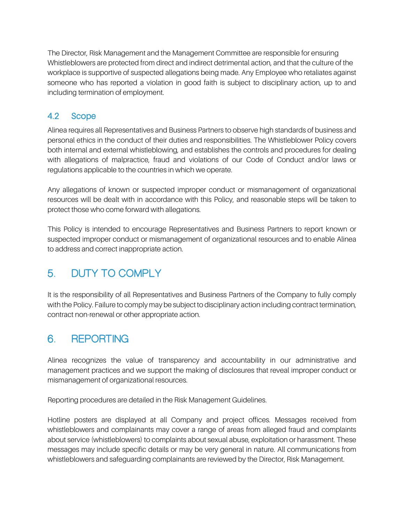The Director, Risk Management and the Management Committee are responsible for ensuring Whistleblowers are protected from direct and indirect detrimental action, and that the culture of the workplace is supportive of suspected allegations being made. Any Employee who retaliates against someone who has reported a violation in good faith is subject to disciplinary action, up to and including termination of employment.

#### 4.2 Scope

Alinea requires all Representatives and Business Partners to observe high standards of business and personal ethics in the conduct of their duties and responsibilities. The Whistleblower Policy covers both internal and external whistleblowing, and establishes the controls and procedures for dealing with allegations of malpractice, fraud and violations of our Code of Conduct and/or laws or regulations applicable to the countries in which we operate.

Any allegations of known or suspected improper conduct or mismanagement of organizational resources will be dealt with in accordance with this Policy, and reasonable steps will be taken to protect those who come forward with allegations.

This Policy is intended to encourage Representatives and Business Partners to report known or suspected improper conduct or mismanagement of organizational resources and to enable Alinea to address and correct inappropriate action.

## **5. DUTY TO COMPLY**

It is the responsibility of all Representatives and Business Partners of the Company to fully comply with the Policy. Failure to comply may be subject to disciplinary action including contract termination, contract non-renewal or other appropriate action.

## **6. REPORTING**

Alinea recognizes the value of transparency and accountability in our administrative and management practices and we support the making of disclosures that reveal improper conduct or mismanagement of organizational resources.

Reporting procedures are detailed in the Risk Management Guidelines.

Hotline posters are displayed at all Company and project offices. Messages received from whistleblowers and complainants may cover a range of areas from alleged fraud and complaints about service (whistleblowers) to complaints about sexual abuse, exploitation or harassment. These messages may include specific details or may be very general in nature. All communications from whistleblowers and safeguarding complainants are reviewed by the Director, Risk Management.